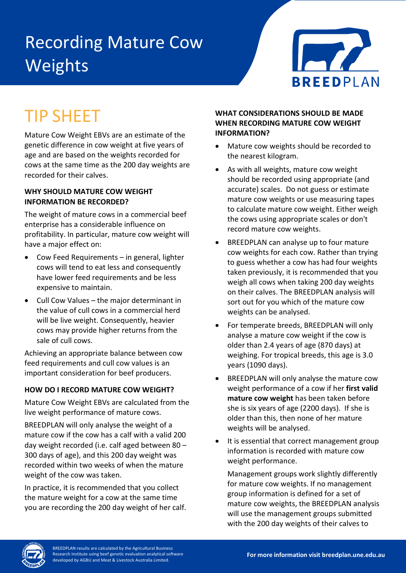# Recording Mature Cow Weights



# TIP SHEET

Mature Cow Weight EBVs are an estimate of the genetic difference in cow weight at five years of age and are based on the weights recorded for cows at the same time as the 200 day weights are recorded for their calves.

## **WHY SHOULD MATURE COW WEIGHT INFORMATION BE RECORDED?**

The weight of mature cows in a commercial beef enterprise has a considerable influence on profitability. In particular, mature cow weight will have a major effect on:

- Cow Feed Requirements in general, lighter cows will tend to eat less and consequently have lower feed requirements and be less expensive to maintain.
- Cull Cow Values the major determinant in the value of cull cows in a commercial herd will be live weight. Consequently, heavier cows may provide higher returns from the sale of cull cows.

Achieving an appropriate balance between cow feed requirements and cull cow values is an important consideration for beef producers.

# **HOW DO I RECORD MATURE COW WEIGHT?**

Mature Cow Weight EBVs are calculated from the live weight performance of mature cows.

BREEDPLAN will only analyse the weight of a mature cow if the cow has a calf with a valid 200 day weight recorded (i.e. calf aged between 80 – 300 days of age), and this 200 day weight was recorded within two weeks of when the mature weight of the cow was taken.

In practice, it is recommended that you collect the mature weight for a cow at the same time you are recording the 200 day weight of her calf.

## **WHAT CONSIDERATIONS SHOULD BE MADE WHEN RECORDING MATURE COW WEIGHT INFORMATION?**

- Mature cow weights should be recorded to the nearest kilogram.
- As with all weights, mature cow weight should be recorded using appropriate (and accurate) scales. Do not guess or estimate mature cow weights or use measuring tapes to calculate mature cow weight. Either weigh the cows using appropriate scales or don't record mature cow weights.
- BREEDPLAN can analyse up to four mature cow weights for each cow. Rather than trying to guess whether a cow has had four weights taken previously, it is recommended that you weigh all cows when taking 200 day weights on their calves. The BREEDPLAN analysis will sort out for you which of the mature cow weights can be analysed.
- For temperate breeds, BREEDPLAN will only analyse a mature cow weight if the cow is older than 2.4 years of age (870 days) at weighing. For tropical breeds, this age is 3.0 years (1090 days).
- BREEDPLAN will only analyse the mature cow weight performance of a cow if her **first valid mature cow weight** has been taken before she is six years of age (2200 days). If she is older than this, then none of her mature weights will be analysed.
- It is essential that correct management group information is recorded with mature cow weight performance.

Management groups work slightly differently for mature cow weights. If no management group information is defined for a set of mature cow weights, the BREEDPLAN analysis will use the management groups submitted with the 200 day weights of their calves to